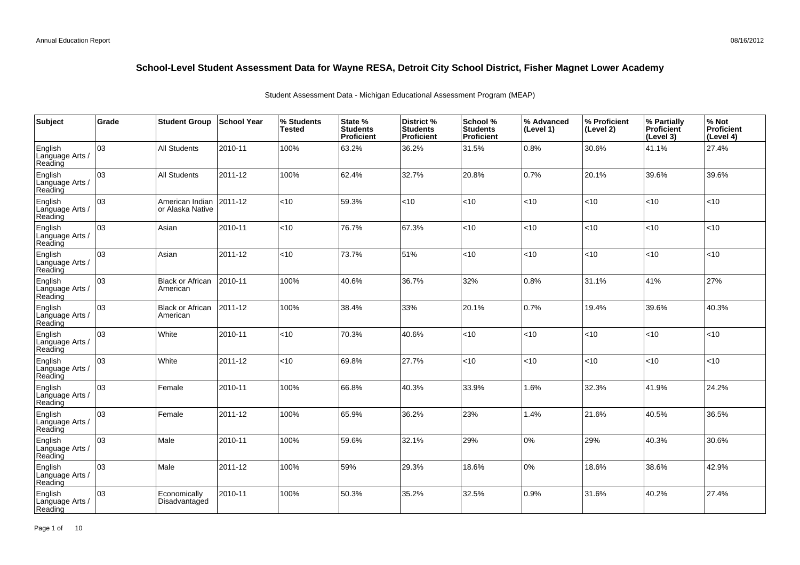| <b>Subject</b>                        | Grade | <b>Student Group</b>                | School Year | % Students<br><b>Tested</b> | State %<br><b>Students</b><br>Proficient | District %<br><b>Students</b><br><b>Proficient</b> | School %<br><b>Students</b><br><b>Proficient</b> | % Advanced<br>(Level 1) | % Proficient<br>(Level 2) | % Partially<br>Proficient<br>(Level 3) | % Not<br>Proficient<br>(Level 4) |
|---------------------------------------|-------|-------------------------------------|-------------|-----------------------------|------------------------------------------|----------------------------------------------------|--------------------------------------------------|-------------------------|---------------------------|----------------------------------------|----------------------------------|
| English<br>Language Arts /<br>Reading | 03    | <b>All Students</b>                 | 2010-11     | 100%                        | 63.2%                                    | 36.2%                                              | 31.5%                                            | 0.8%                    | 30.6%                     | 41.1%                                  | 27.4%                            |
| English<br>Language Arts /<br>Reading | 03    | <b>All Students</b>                 | 2011-12     | 100%                        | 62.4%                                    | 32.7%                                              | 20.8%                                            | 0.7%                    | 20.1%                     | 39.6%                                  | 39.6%                            |
| English<br>Language Arts /<br>Reading | 03    | American Indian<br>or Alaska Native | 2011-12     | $<$ 10                      | 59.3%                                    | <10                                                | < 10                                             | <10                     | $<$ 10                    | < 10                                   | <10                              |
| English<br>Language Arts /<br>Reading | 03    | Asian                               | 2010-11     | <10                         | 76.7%                                    | 67.3%                                              | <10                                              | <10                     | <10                       | < 10                                   | <10                              |
| English<br>Language Arts /<br>Reading | 03    | Asian                               | 2011-12     | <10                         | 73.7%                                    | 51%                                                | < 10                                             | < 10                    | $10^{-1}$                 | < 10                                   | <10                              |
| English<br>Language Arts /<br>Reading | 03    | <b>Black or African</b><br>American | 2010-11     | 100%                        | 40.6%                                    | 36.7%                                              | 32%                                              | 0.8%                    | 31.1%                     | 41%                                    | 27%                              |
| English<br>Language Arts /<br>Reading | 03    | <b>Black or African</b><br>American | 2011-12     | 100%                        | 38.4%                                    | 33%                                                | 20.1%                                            | 0.7%                    | 19.4%                     | 39.6%                                  | 40.3%                            |
| English<br>Language Arts<br>Reading   | 03    | White                               | 2010-11     | <10                         | 70.3%                                    | 40.6%                                              | < 10                                             | <10                     | <10                       | < 10                                   | <10                              |
| English<br>Language Arts /<br>Reading | 03    | White                               | 2011-12     | <10                         | 69.8%                                    | 27.7%                                              | < 10                                             | <10                     | < 10                      | < 10                                   | <10                              |
| English<br>Language Arts<br>Reading   | 03    | Female                              | 2010-11     | 100%                        | 66.8%                                    | 40.3%                                              | 33.9%                                            | 1.6%                    | 32.3%                     | 41.9%                                  | 24.2%                            |
| English<br>Language Arts<br>Reading   | 03    | Female                              | 2011-12     | 100%                        | 65.9%                                    | 36.2%                                              | 23%                                              | 1.4%                    | 21.6%                     | 40.5%                                  | 36.5%                            |
| English<br>Language Arts<br>Reading   | 03    | Male                                | 2010-11     | 100%                        | 59.6%                                    | 32.1%                                              | 29%                                              | 0%                      | 29%                       | 40.3%                                  | 30.6%                            |
| English<br>Language Arts /<br>Reading | 03    | Male                                | 2011-12     | 100%                        | 59%                                      | 29.3%                                              | 18.6%                                            | 0%                      | 18.6%                     | 38.6%                                  | 42.9%                            |
| English<br>Language Arts<br>Reading   | 03    | Economically<br>Disadvantaged       | 2010-11     | 100%                        | 50.3%                                    | 35.2%                                              | 32.5%                                            | 0.9%                    | 31.6%                     | 40.2%                                  | 27.4%                            |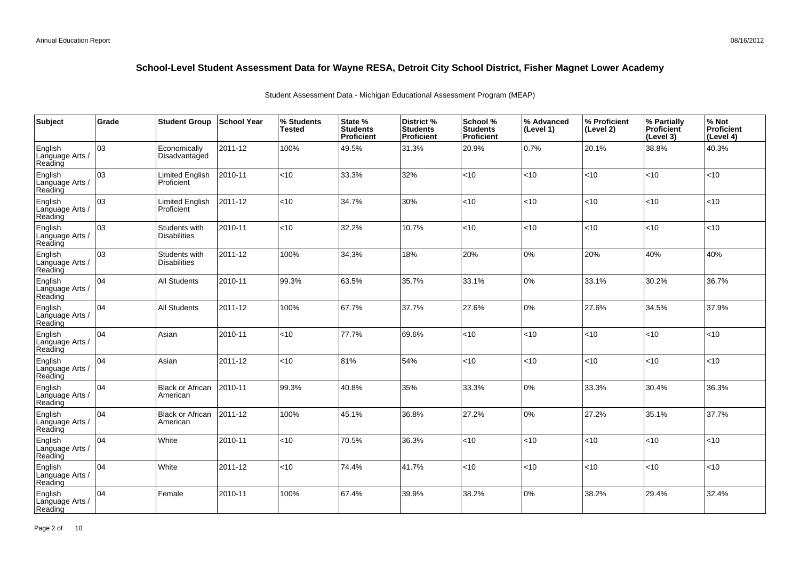| Subject                               | Grade | <b>Student Group</b>                 | <b>School Year</b> | % Students<br><b>Tested</b> | State %<br><b>Students</b><br><b>Proficient</b> | District %<br><b>Students</b><br><b>Proficient</b> | School %<br><b>Students</b><br><b>Proficient</b> | % Advanced<br>(Level 1) | % Proficient<br>(Level 2) | % Partially<br>Proficient<br>(Level 3) | % Not<br>Proficient<br>(Level 4) |
|---------------------------------------|-------|--------------------------------------|--------------------|-----------------------------|-------------------------------------------------|----------------------------------------------------|--------------------------------------------------|-------------------------|---------------------------|----------------------------------------|----------------------------------|
| English<br>Language Arts /<br>Reading | 03    | Economically<br>Disadvantaged        | 2011-12            | 100%                        | 49.5%                                           | 31.3%                                              | 20.9%                                            | 0.7%                    | 20.1%                     | 38.8%                                  | 40.3%                            |
| English<br>Language Arts /<br>Reading | 03    | Limited English<br>Proficient        | 2010-11            | <10                         | 33.3%                                           | 32%                                                | <10                                              | < 10                    | < 10                      | <10                                    | <10                              |
| English<br>Language Arts /<br>Reading | 03    | Limited English<br>Proficient        | 2011-12            | < 10                        | 34.7%                                           | 30%                                                | < 10                                             | <10                     | $<$ 10                    | < 10                                   | <10                              |
| English<br>Language Arts /<br>Reading | 03    | Students with<br><b>Disabilities</b> | 2010-11            | <10                         | 32.2%                                           | 10.7%                                              | <10                                              | <10                     | < 10                      | < 10                                   | <10                              |
| English<br>Language Arts /<br>Reading | lоз   | Students with<br><b>Disabilities</b> | 2011-12            | 100%                        | 34.3%                                           | 18%                                                | 20%                                              | 0%                      | 20%                       | 40%                                    | 40%                              |
| English<br>Language Arts /<br>Reading | 04    | <b>All Students</b>                  | 2010-11            | 99.3%                       | 63.5%                                           | 35.7%                                              | 33.1%                                            | 0%                      | 33.1%                     | 30.2%                                  | 36.7%                            |
| English<br>Language Arts /<br>Reading | 104   | All Students                         | 2011-12            | 100%                        | 67.7%                                           | 37.7%                                              | 27.6%                                            | 0%                      | 27.6%                     | 34.5%                                  | 37.9%                            |
| English<br>Language Arts /<br>Reading | 104   | Asian                                | 2010-11            | <10                         | 77.7%                                           | 69.6%                                              | <10                                              | <10                     | < 10                      | < 10                                   | <10                              |
| English<br>Language Arts /<br>Reading | 04    | Asian                                | 2011-12            | <10                         | 81%                                             | 54%                                                | <10                                              | <10                     | < 10                      | < 10                                   | $<$ 10                           |
| English<br>Language Arts /<br>Reading | 04    | <b>Black or African</b><br>American  | 2010-11            | 99.3%                       | 40.8%                                           | 35%                                                | 33.3%                                            | 0%                      | 33.3%                     | 30.4%                                  | 36.3%                            |
| English<br>Language Arts /<br>Reading | 04    | <b>Black or African</b><br>American  | 2011-12            | 100%                        | 45.1%                                           | 36.8%                                              | 27.2%                                            | 0%                      | 27.2%                     | 35.1%                                  | 37.7%                            |
| English<br>Language Arts /<br>Reading | 04    | White                                | 2010-11            | < 10                        | 70.5%                                           | 36.3%                                              | <10                                              | < 10                    | < 10                      | <10                                    | <10                              |
| English<br>Language Arts /<br>Reading | 104   | White                                | 2011-12            | < 10                        | 74.4%                                           | 41.7%                                              | < 10                                             | < 10                    | < 10                      | < 10                                   | $<$ 10                           |
| English<br>Language Arts<br>Reading   | 04    | Female                               | 2010-11            | 100%                        | 67.4%                                           | 39.9%                                              | 38.2%                                            | 0%                      | 38.2%                     | 29.4%                                  | 32.4%                            |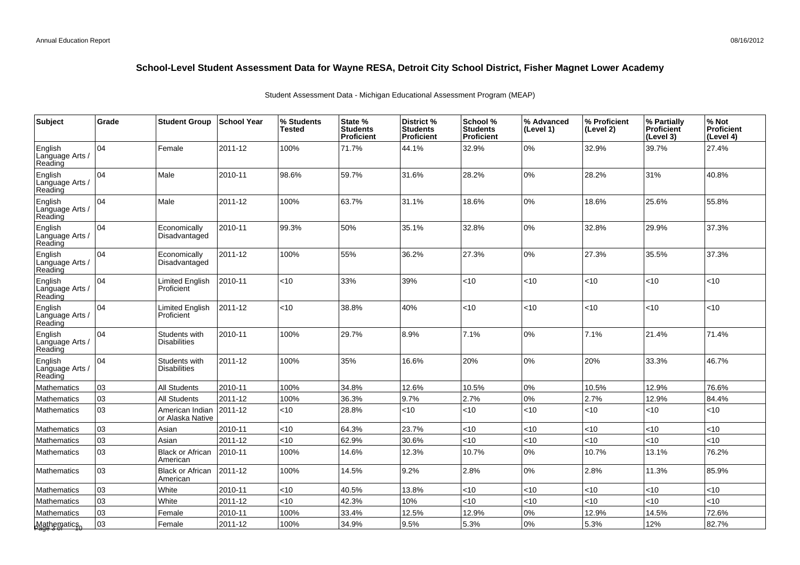| Subject                                    | Grade | <b>Student Group</b>                 | <b>School Year</b> | % Students<br>Tested | State %<br><b>Students</b><br>Proficient | District %<br><b>Students</b><br><b>Proficient</b> | School %<br><b>Students</b><br><b>Proficient</b> | % Advanced<br>(Level 1) | % Proficient<br>(Level 2) | % Partially<br>Proficient<br>(Level 3) | % Not<br><b>Proficient</b><br>(Level 4) |
|--------------------------------------------|-------|--------------------------------------|--------------------|----------------------|------------------------------------------|----------------------------------------------------|--------------------------------------------------|-------------------------|---------------------------|----------------------------------------|-----------------------------------------|
| <b>English</b><br>Language Arts<br>Reading | 04    | Female                               | 2011-12            | 100%                 | 71.7%                                    | 44.1%                                              | 32.9%                                            | 0%                      | 32.9%                     | 39.7%                                  | 27.4%                                   |
| English<br>Language Arts /<br>Reading      | 04    | Male                                 | 2010-11            | 98.6%                | 59.7%                                    | 31.6%                                              | 28.2%                                            | 0%                      | 28.2%                     | 31%                                    | 40.8%                                   |
| English<br>Language Arts /<br>Reading      | 04    | Male                                 | 2011-12            | 100%                 | 63.7%                                    | 31.1%                                              | 18.6%                                            | 0%                      | 18.6%                     | 25.6%                                  | 55.8%                                   |
| English<br>Language Arts /<br>Reading      | 104   | Economically<br>Disadvantaged        | 2010-11            | 99.3%                | 50%                                      | 35.1%                                              | 32.8%                                            | 0%                      | 32.8%                     | 29.9%                                  | 37.3%                                   |
| English<br>Language Arts /<br>Reading      | 04    | Economically<br>Disadvantaged        | 2011-12            | 100%                 | 55%                                      | 36.2%                                              | 27.3%                                            | 0%                      | 27.3%                     | 35.5%                                  | 37.3%                                   |
| English<br>Language Arts /<br>Reading      | 104   | Limited English<br>Proficient        | 2010-11            | < 10                 | 33%                                      | 39%                                                | <10                                              | < 10                    | <10                       | <10                                    | <10                                     |
| English<br>Language Arts /<br>Reading      | 04    | Limited English<br>Proficient        | 2011-12            | <10                  | 38.8%                                    | 40%                                                | <10                                              | <10                     | <10                       | <10                                    | <10                                     |
| English<br>Language Arts /<br>Reading      | 04    | Students with<br>Disabilities        | 2010-11            | 100%                 | 29.7%                                    | 8.9%                                               | 7.1%                                             | 0%                      | 7.1%                      | 21.4%                                  | 71.4%                                   |
| English<br>Language Arts /<br>Reading      | 04    | Students with<br><b>Disabilities</b> | 2011-12            | 100%                 | 35%                                      | 16.6%                                              | 20%                                              | 0%                      | 20%                       | 33.3%                                  | 46.7%                                   |
| Mathematics                                | 03    | All Students                         | 2010-11            | 100%                 | 34.8%                                    | 12.6%                                              | 10.5%                                            | $0\%$                   | 10.5%                     | 12.9%                                  | 76.6%                                   |
| Mathematics                                | 03    | <b>All Students</b>                  | 2011-12            | 100%                 | 36.3%                                    | 9.7%                                               | 2.7%                                             | 0%                      | 2.7%                      | 12.9%                                  | 84.4%                                   |
| Mathematics                                | 03    | American Indian<br>or Alaska Native  | 2011-12            | $<$ 10               | 28.8%                                    | <10                                                | < 10                                             | < 10                    | < 10                      | < 10                                   | <10                                     |
| Mathematics                                | 03    | Asian                                | 2010-11            | <10                  | 64.3%                                    | 23.7%                                              | <10                                              | <10                     | <10                       | <10                                    | <10                                     |
| Mathematics                                | 03    | Asian                                | 2011-12            | <10                  | 62.9%                                    | 30.6%                                              | < 10                                             | <10                     | <10                       | <10                                    | <10                                     |
| Mathematics                                | 03    | <b>Black or African</b><br>American  | 2010-11            | 100%                 | 14.6%                                    | 12.3%                                              | 10.7%                                            | 0%                      | 10.7%                     | 13.1%                                  | 76.2%                                   |
| Mathematics                                | 03    | <b>Black or African</b><br>American  | 2011-12            | 100%                 | 14.5%                                    | 9.2%                                               | 2.8%                                             | 0%                      | 2.8%                      | 11.3%                                  | 85.9%                                   |
| Mathematics                                | 03    | White                                | 2010-11            | <10                  | 40.5%                                    | 13.8%                                              | < 10                                             | < 10                    | <10                       | < 10                                   | <10                                     |
| Mathematics                                | 03    | White                                | 2011-12            | <10                  | 42.3%                                    | 10%                                                | < 10                                             | <10                     | <10                       | <10                                    | <10                                     |
| Mathematics                                | 03    | Female                               | 2010-11            | 100%                 | 33.4%                                    | 12.5%                                              | 12.9%                                            | 0%                      | 12.9%                     | 14.5%                                  | 72.6%                                   |
| Mathematics<br>Page 3 of                   | 03    | Female                               | 2011-12            | 100%                 | 34.9%                                    | 9.5%                                               | 5.3%                                             | 0%                      | 5.3%                      | 12%                                    | 82.7%                                   |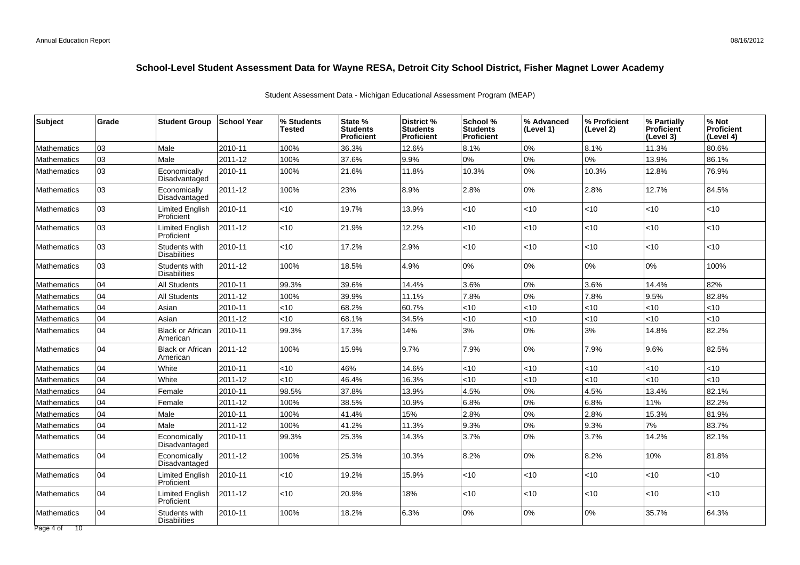| Subject            | Grade | <b>Student Group</b>                 | <b>School Year</b> | % Students<br>Tested | State %<br><b>Students</b><br><b>Proficient</b> | District %<br><b>Students</b><br><b>Proficient</b> | School %<br><b>Students</b><br><b>Proficient</b> | % Advanced<br>(Level 1) | % Proficient<br>(Level 2) | % Partially<br><b>Proficient</b><br>(Level 3) | % Not<br>Proficient<br>(Level 4) |
|--------------------|-------|--------------------------------------|--------------------|----------------------|-------------------------------------------------|----------------------------------------------------|--------------------------------------------------|-------------------------|---------------------------|-----------------------------------------------|----------------------------------|
| <b>Mathematics</b> | 03    | Male                                 | 2010-11            | 100%                 | 36.3%                                           | 12.6%                                              | 8.1%                                             | $0\%$                   | 8.1%                      | 11.3%                                         | 80.6%                            |
| <b>Mathematics</b> | 03    | Male                                 | 2011-12            | 100%                 | 37.6%                                           | 9.9%                                               | $0\%$                                            | 0%                      | 0%                        | 13.9%                                         | 86.1%                            |
| <b>Mathematics</b> | 03    | Economically<br>Disadvantaged        | 2010-11            | 100%                 | 21.6%                                           | 11.8%                                              | 10.3%                                            | 0%                      | 10.3%                     | 12.8%                                         | 76.9%                            |
| <b>Mathematics</b> | 03    | Economically<br>Disadvantaged        | 2011-12            | 100%                 | 23%                                             | 8.9%                                               | 2.8%                                             | 0%                      | 2.8%                      | 12.7%                                         | 84.5%                            |
| <b>Mathematics</b> | 03    | Limited English<br>Proficient        | 2010-11            | <10                  | 19.7%                                           | 13.9%                                              | <10                                              | $<10$                   | <10                       | $<10$                                         | <10                              |
| <b>Mathematics</b> | 03    | <b>Limited English</b><br>Proficient | 2011-12            | <10                  | 21.9%                                           | 12.2%                                              | <10                                              | $<$ 10                  | $<$ 10                    | <10                                           | <10                              |
| <b>Mathematics</b> | 03    | Students with<br><b>Disabilities</b> | 2010-11            | <10                  | 17.2%                                           | 2.9%                                               | <10                                              | $<10$                   | <10                       | <10                                           | <10                              |
| <b>Mathematics</b> | 03    | Students with<br><b>Disabilities</b> | 2011-12            | 100%                 | 18.5%                                           | 4.9%                                               | $0\%$                                            | 0%                      | 0%                        | 0%                                            | 100%                             |
| <b>Mathematics</b> | 04    | <b>All Students</b>                  | 2010-11            | 99.3%                | 39.6%                                           | 14.4%                                              | 3.6%                                             | 0%                      | 3.6%                      | 14.4%                                         | 82%                              |
| <b>Mathematics</b> | 04    | <b>All Students</b>                  | 2011-12            | 100%                 | 39.9%                                           | 11.1%                                              | 7.8%                                             | 0%                      | 7.8%                      | 9.5%                                          | 82.8%                            |
| <b>Mathematics</b> | 04    | Asian                                | 2010-11            | <10                  | 68.2%                                           | 60.7%                                              | <10                                              | <10                     | <10                       | <10                                           | <10                              |
| Mathematics        | 04    | Asian                                | 2011-12            | <10                  | 68.1%                                           | 34.5%                                              | <10                                              | < 10                    | <10                       | <10                                           | <10                              |
| Mathematics        | 04    | <b>Black or African</b><br>American  | 2010-11            | 99.3%                | 17.3%                                           | 14%                                                | 3%                                               | 0%                      | 3%                        | 14.8%                                         | 82.2%                            |
| <b>Mathematics</b> | 04    | <b>Black or African</b><br>American  | 2011-12            | 100%                 | 15.9%                                           | 9.7%                                               | 7.9%                                             | 0%                      | 7.9%                      | 9.6%                                          | 82.5%                            |
| <b>Mathematics</b> | 04    | White                                | 2010-11            | <10                  | 46%                                             | 14.6%                                              | < 10                                             | <10                     | <10                       | < 10                                          | <10                              |
| <b>Mathematics</b> | 04    | White                                | 2011-12            | <10                  | 46.4%                                           | 16.3%                                              | < 10                                             | < 10                    | <10                       | $<10$                                         | <10                              |
| Mathematics        | 04    | Female                               | 2010-11            | 98.5%                | 37.8%                                           | 13.9%                                              | 4.5%                                             | 0%                      | 4.5%                      | 13.4%                                         | 82.1%                            |
| <b>Mathematics</b> | 04    | Female                               | 2011-12            | 100%                 | 38.5%                                           | 10.9%                                              | 6.8%                                             | 0%                      | 6.8%                      | 11%                                           | 82.2%                            |
| <b>Mathematics</b> | 04    | Male                                 | 2010-11            | 100%                 | 41.4%                                           | 15%                                                | 2.8%                                             | 0%                      | 2.8%                      | 15.3%                                         | 81.9%                            |
| <b>Mathematics</b> | 04    | Male                                 | 2011-12            | 100%                 | 41.2%                                           | 11.3%                                              | 9.3%                                             | 0%                      | 9.3%                      | 7%                                            | 83.7%                            |
| <b>Mathematics</b> | 04    | Economically<br>Disadvantaged        | 2010-11            | 99.3%                | 25.3%                                           | 14.3%                                              | 3.7%                                             | 0%                      | 3.7%                      | 14.2%                                         | 82.1%                            |
| <b>Mathematics</b> | 04    | Economically<br>Disadvantaged        | 2011-12            | 100%                 | 25.3%                                           | 10.3%                                              | 8.2%                                             | 0%                      | 8.2%                      | 10%                                           | 81.8%                            |
| <b>Mathematics</b> | 04    | <b>Limited English</b><br>Proficient | 2010-11            | <10                  | 19.2%                                           | 15.9%                                              | <10                                              | $<10$                   | <10                       | <10                                           | <10                              |
| <b>Mathematics</b> | 04    | Limited English<br>Proficient        | 2011-12            | < 10                 | 20.9%                                           | 18%                                                | <10                                              | $<$ 10                  | $<$ 10                    | < 10                                          | <10                              |
| <b>Mathematics</b> | 04    | Students with<br><b>Disabilities</b> | 2010-11            | 100%                 | 18.2%                                           | 6.3%                                               | $0\%$                                            | 0%                      | 0%                        | 35.7%                                         | 64.3%                            |
| Page 4 of 10       |       |                                      |                    |                      |                                                 |                                                    |                                                  |                         |                           |                                               |                                  |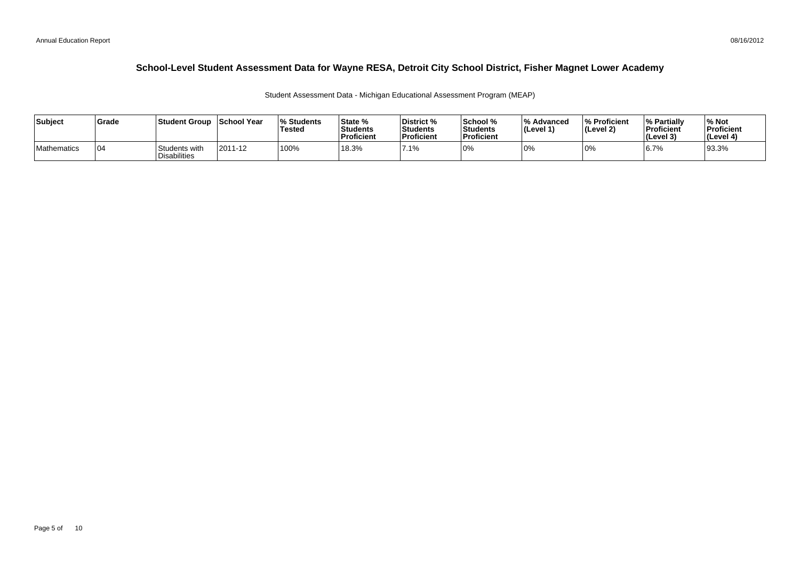| Subject     | l Grade | Student Group                  | School Year | <b>Students</b><br>Tested | State %<br>Students<br><b>Proficient</b> | District %<br><b>Students</b><br><b>Proficient</b> | School %<br><b>Students</b><br>Proficient | <sup>1</sup> % Advanced<br>$ $ (Level 1) | <b>S</b> Proficient<br>(Level 2) | <b>1% Partially</b><br>Proficient<br>(Level 3) | <sup>∣%</sup> Not<br>Proficient<br><b>I</b> (Level 4) |
|-------------|---------|--------------------------------|-------------|---------------------------|------------------------------------------|----------------------------------------------------|-------------------------------------------|------------------------------------------|----------------------------------|------------------------------------------------|-------------------------------------------------------|
| Mathematics | 0⊿      | Students with<br>'Disabilities | 2011-12     | 100%                      | 18.3%                                    | 7.1%                                               | $ 0\%$                                    | 0%                                       |                                  | 6.7%                                           | 93.3%                                                 |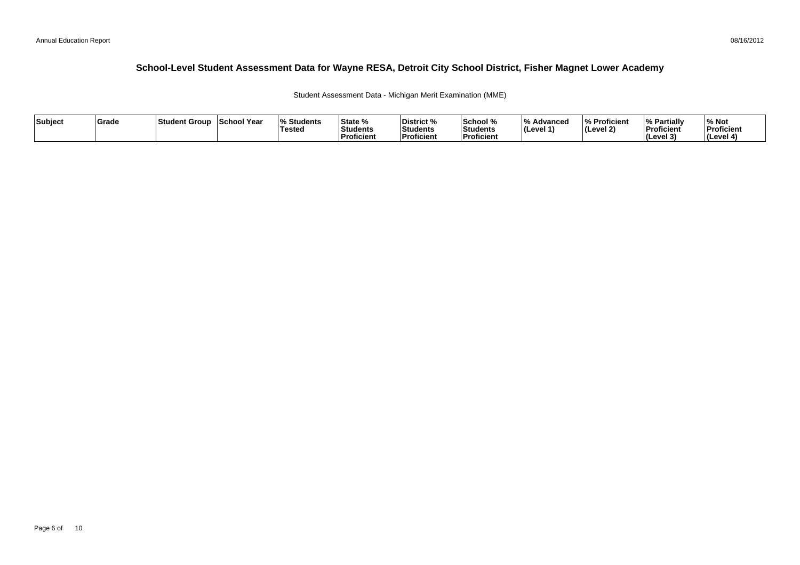Student Assessment Data - Michigan Merit Examination (MME)

| Subject | <b>Grade</b> | ⊺Student Group | School Year | <b>Students</b> l%<br>'Testeo | <b>State %</b><br>Students<br>Proficient | District %<br>Students<br><b>Proficient</b> | School %<br>Students<br>' Proficien. | /۱۵<br>Advanced<br>ILevel 1 | % Proficient<br>(Level 2) | <b>My Partially</b><br>Proficient<br>(Level 3) | % Not<br>Proficient<br>l (Level 4 |
|---------|--------------|----------------|-------------|-------------------------------|------------------------------------------|---------------------------------------------|--------------------------------------|-----------------------------|---------------------------|------------------------------------------------|-----------------------------------|
|---------|--------------|----------------|-------------|-------------------------------|------------------------------------------|---------------------------------------------|--------------------------------------|-----------------------------|---------------------------|------------------------------------------------|-----------------------------------|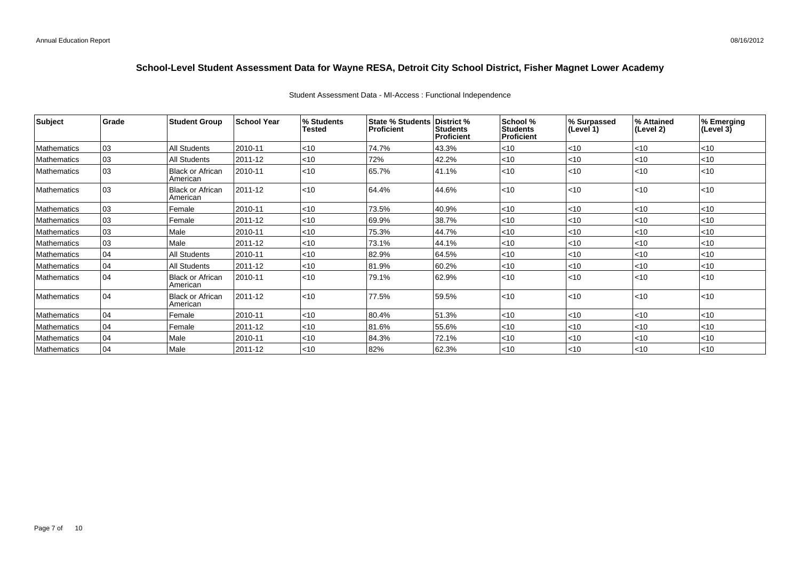| <b>Subject</b>     | Grade | <b>Student Group</b>                | <b>School Year</b> | % Students<br>Tested | State % Students District %<br>Proficient | <b>Students</b><br>Proficient | <b>School %</b><br><b>Students</b><br>Proficient | % Surpassed<br>(Level 1) | % Attained<br>(Level 2) | % Emerging<br>(Level 3) |
|--------------------|-------|-------------------------------------|--------------------|----------------------|-------------------------------------------|-------------------------------|--------------------------------------------------|--------------------------|-------------------------|-------------------------|
| Mathematics        | 03    | All Students                        | 2010-11            | < 10                 | 74.7%                                     | 43.3%                         | $ $ < 10                                         | $ $ < 10                 | $ $ < 10                | < 10                    |
| Mathematics        | 03    | <b>All Students</b>                 | 2011-12            | < 10                 | 72%                                       | 42.2%                         | $ $ < 10                                         | $<$ 10                   | $ $ < 10                | $<$ 10                  |
| <b>Mathematics</b> | 03    | Black or African<br>American        | 2010-11            | < 10                 | 65.7%                                     | 41.1%                         | $ $ < 10                                         | $ $ < 10                 | $ $ < 10                | $\leq 10$               |
| Mathematics        | 03    | <b>Black or African</b><br>American | 2011-12            | < 10                 | 64.4%                                     | 44.6%                         | $ $ < 10                                         | $ $ < 10                 | $ $ < 10                | $\leq 10$               |
| Mathematics        | 03    | Female                              | 2010-11            | <10                  | 73.5%                                     | 40.9%                         | $ $ < 10                                         | $ $ < 10                 | $ $ <10                 | $ $ < 10                |
| <b>Mathematics</b> | 03    | Female                              | 2011-12            | <10                  | 69.9%                                     | 38.7%                         | $ $ < 10                                         | < 10                     | $ $ < 10                | $ $ < 10                |
| Mathematics        | 03    | Male                                | 2010-11            | <10                  | 75.3%                                     | 44.7%                         | $ $ < 10                                         | $<$ 10                   | l<10                    | $ $ < 10                |
| <b>Mathematics</b> | 03    | Male                                | 2011-12            | < 10                 | 73.1%                                     | 44.1%                         | $ $ < 10                                         | $ $ < 10                 | $ $ < 10                | < 10                    |
| Mathematics        | 04    | All Students                        | 2010-11            | < 10                 | 82.9%                                     | 64.5%                         | $ $ < 10                                         | $ $ < 10                 | l<10                    | < 10                    |
| Mathematics        | 04    | <b>All Students</b>                 | 2011-12            | <10                  | 81.9%                                     | 60.2%                         | $ $ < 10                                         | $<$ 10                   | $<$ 10                  | < 10                    |
| <b>Mathematics</b> | 04    | Black or African<br>American        | 2010-11            | < 10                 | 79.1%                                     | 62.9%                         | $ $ < 10                                         | $ $ < 10                 | $ $ < 10                | $ $ < 10                |
| Mathematics        | 04    | Black or African<br>American        | 2011-12            | < 10                 | 77.5%                                     | 59.5%                         | $ $ < 10                                         | $ $ < 10                 | $ $ < 10                | $\vert$ < 10            |
| Mathematics        | 04    | Female                              | 2010-11            | <10                  | 80.4%                                     | 51.3%                         | $ $ < 10                                         | < 10                     | $ $ < 10                | $\leq 10$               |
| <b>Mathematics</b> | 04    | Female                              | 2011-12            | < 10                 | 81.6%                                     | 55.6%                         | $ $ < 10                                         | $<$ 10                   | $ $ < 10                | $ $ < 10                |
| Mathematics        | 04    | Male                                | 2010-11            | <10                  | 84.3%                                     | 72.1%                         | $ $ < 10                                         | $ $ < 10                 | $ $ < 10                | $<$ 10                  |
| <b>Mathematics</b> | 04    | l Male                              | 2011-12            | $<$ 10               | 82%                                       | 62.3%                         | $ $ < 10                                         | $<$ 10                   | l<10                    | $\vert$ < 10            |

#### Student Assessment Data - MI-Access : Functional Independence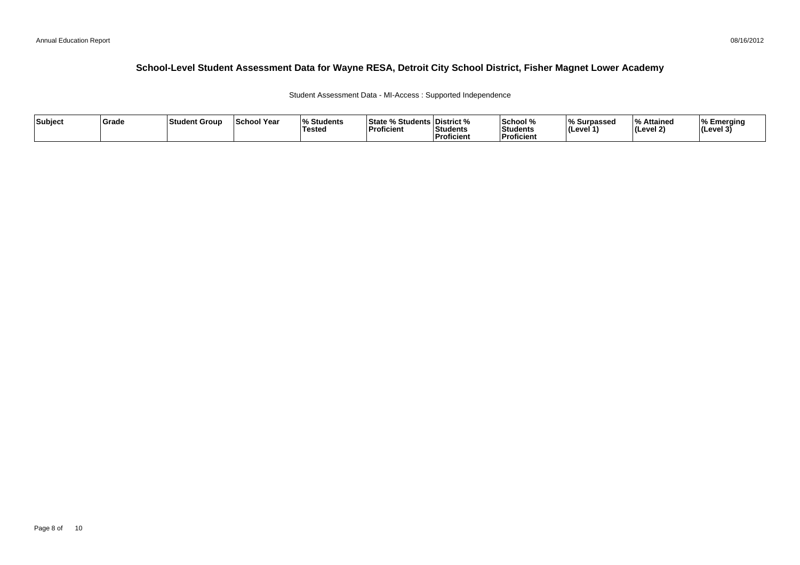Student Assessment Data - MI-Access : Supported Independence

| Subject | Grade | Student Group | <b>School Year</b> | $\mathbf{a}$<br>Students<br><b>Tested</b> | <b>State % Students District %</b><br>'Proficient | Students<br>Proficient | School %<br>Students<br><b>Proficient</b> | % Surpassed<br>(Level 1 | % Attained<br>l (Level 2) | ∣% Emeraina<br>$ $ (Level 3) |
|---------|-------|---------------|--------------------|-------------------------------------------|---------------------------------------------------|------------------------|-------------------------------------------|-------------------------|---------------------------|------------------------------|
|---------|-------|---------------|--------------------|-------------------------------------------|---------------------------------------------------|------------------------|-------------------------------------------|-------------------------|---------------------------|------------------------------|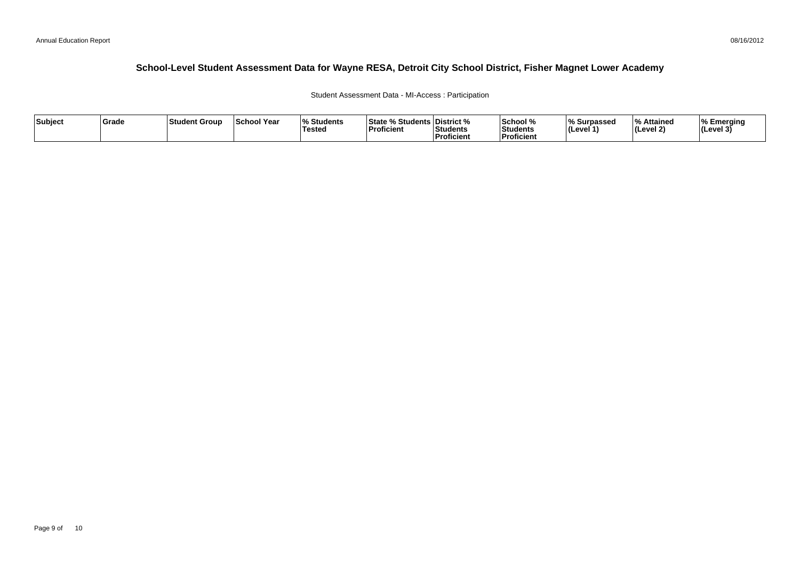Student Assessment Data - MI-Access : Participation

| Subject | Grade | Student Group | <b>School Year</b> | $\mathbf{a}$<br>Students<br><b>Tested</b> | <b>State % Students District %</b><br>'Proficient | Students<br>Proficient | School %<br>Students<br><b>Proficient</b> | % Surpassed<br>(Level 1 | % Attained<br>l (Level 2) | ∣% Emeraina<br>$ $ (Level 3) |
|---------|-------|---------------|--------------------|-------------------------------------------|---------------------------------------------------|------------------------|-------------------------------------------|-------------------------|---------------------------|------------------------------|
|---------|-------|---------------|--------------------|-------------------------------------------|---------------------------------------------------|------------------------|-------------------------------------------|-------------------------|---------------------------|------------------------------|